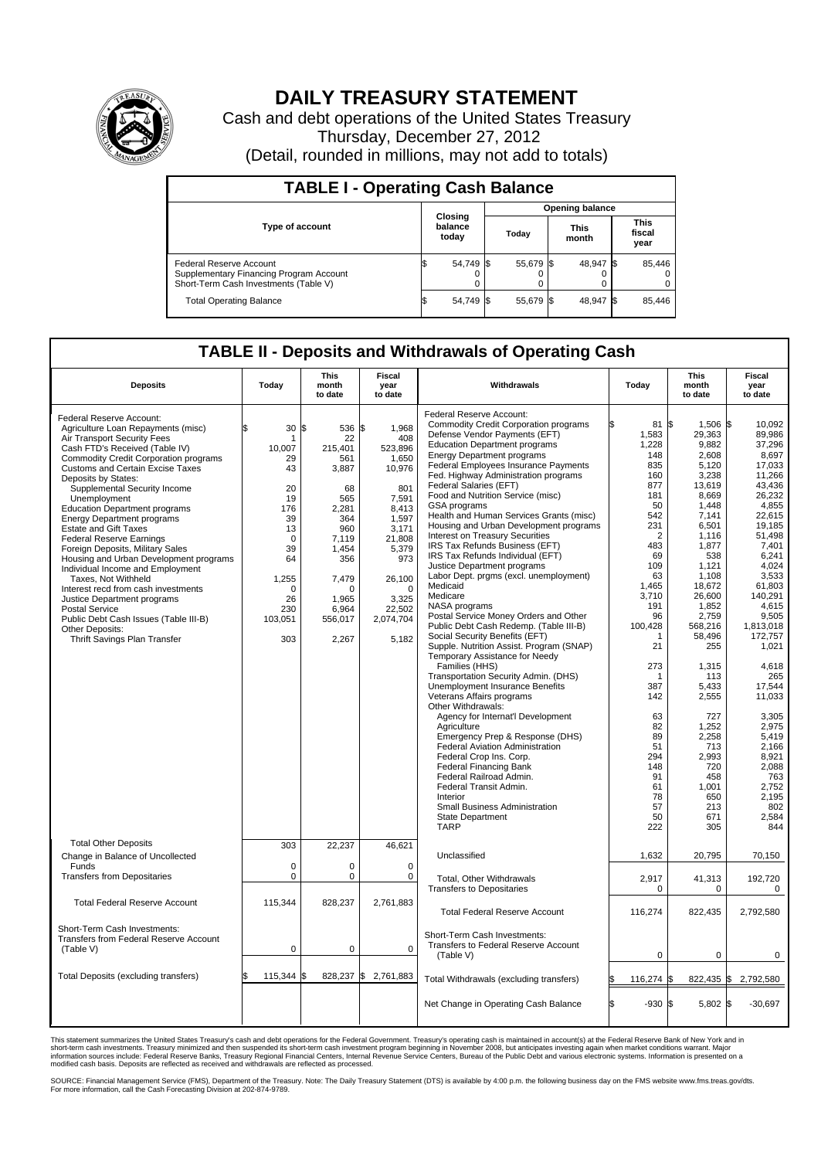

## **DAILY TREASURY STATEMENT**

Cash and debt operations of the United States Treasury Thursday, December 27, 2012 (Detail, rounded in millions, may not add to totals)

| <b>TABLE I - Operating Cash Balance</b>                                                                     |                             |                        |                      |                               |  |  |  |  |
|-------------------------------------------------------------------------------------------------------------|-----------------------------|------------------------|----------------------|-------------------------------|--|--|--|--|
|                                                                                                             |                             | <b>Opening balance</b> |                      |                               |  |  |  |  |
| <b>Type of account</b>                                                                                      | Closing<br>balance<br>today | Today                  | <b>This</b><br>month | <b>This</b><br>fiscal<br>year |  |  |  |  |
| Federal Reserve Account<br>Supplementary Financing Program Account<br>Short-Term Cash Investments (Table V) | 54,749 \$                   | 55,679 \$              | 48.947 \$            | 85,446<br>$^{(1)}$<br>0       |  |  |  |  |
| <b>Total Operating Balance</b>                                                                              | 54,749 \$                   | 55,679 \$              | 48,947 \$            | 85,446                        |  |  |  |  |

## **TABLE II - Deposits and Withdrawals of Operating Cash**

| <b>Deposits</b>                              | Today           | <b>This</b><br>month<br>to date | Fiscal<br>year<br>to date | Withdrawals                                                                | Today          | <b>This</b><br>month<br>to date | <b>Fiscal</b><br>year<br>to date |
|----------------------------------------------|-----------------|---------------------------------|---------------------------|----------------------------------------------------------------------------|----------------|---------------------------------|----------------------------------|
|                                              |                 |                                 |                           | Federal Reserve Account:                                                   |                |                                 |                                  |
| Federal Reserve Account:                     |                 |                                 |                           |                                                                            | 81 \$          |                                 |                                  |
| Agriculture Loan Repayments (misc)           | 30 <sup>5</sup> | 536                             | 1,968<br>l\$              | <b>Commodity Credit Corporation programs</b>                               |                | 1,506 \$                        | 10,092                           |
| Air Transport Security Fees                  | 1               | 22                              | 408                       | Defense Vendor Payments (EFT)                                              | 1,583          | 29,363                          | 89.986                           |
| Cash FTD's Received (Table IV)               | 10,007          | 215,401                         | 523,896                   | <b>Education Department programs</b>                                       | 1,228          | 9,882                           | 37,296                           |
| <b>Commodity Credit Corporation programs</b> | 29              | 561                             | 1,650                     | <b>Energy Department programs</b>                                          | 148            | 2,608                           | 8,697                            |
| <b>Customs and Certain Excise Taxes</b>      | 43              | 3,887                           | 10,976                    | Federal Employees Insurance Payments                                       | 835            | 5,120                           | 17,033                           |
| Deposits by States:                          |                 |                                 |                           | Fed. Highway Administration programs                                       | 160            | 3,238                           | 11,266                           |
| Supplemental Security Income                 | 20              | 68                              | 801                       | Federal Salaries (EFT)                                                     | 877            | 13,619                          | 43.436                           |
|                                              | 19              | 565                             | 7.591                     | Food and Nutrition Service (misc)                                          | 181            | 8,669                           | 26,232                           |
| Unemployment                                 |                 |                                 |                           | GSA programs                                                               | 50             | 1,448                           | 4.855                            |
| <b>Education Department programs</b>         | 176             | 2,281                           | 8,413                     | Health and Human Services Grants (misc)                                    | 542            | 7.141                           | 22.615                           |
| <b>Energy Department programs</b>            | 39              | 364                             | 1,597                     | Housing and Urban Development programs                                     | 231            | 6,501                           | 19,185                           |
| <b>Estate and Gift Taxes</b>                 | 13              | 960                             | 3,171                     |                                                                            |                |                                 |                                  |
| Federal Reserve Earnings                     | $\Omega$        | 7,119                           | 21.808                    | Interest on Treasury Securities                                            | $\overline{2}$ | 1,116                           | 51,498                           |
| Foreign Deposits, Military Sales             | 39              | 1,454                           | 5,379                     | IRS Tax Refunds Business (EFT)                                             | 483            | 1,877                           | 7.401                            |
| Housing and Urban Development programs       | 64              | 356                             | 973                       | IRS Tax Refunds Individual (EFT)                                           | 69             | 538                             | 6,241                            |
| Individual Income and Employment             |                 |                                 |                           | Justice Department programs                                                | 109            | 1,121                           | 4,024                            |
| Taxes, Not Withheld                          | 1,255           | 7,479                           | 26,100                    | Labor Dept. prgms (excl. unemployment)                                     | 63             | 1.108                           | 3.533                            |
| Interest recd from cash investments          | $\Omega$        | $\Omega$                        | $\Omega$                  | Medicaid                                                                   | 1,465          | 18,672                          | 61,803                           |
|                                              |                 |                                 |                           | Medicare                                                                   | 3,710          | 26,600                          | 140,291                          |
| Justice Department programs                  | 26              | 1,965                           | 3,325                     | NASA programs                                                              | 191            | 1,852                           | 4,615                            |
| <b>Postal Service</b>                        | 230             | 6.964                           | 22,502                    | Postal Service Money Orders and Other                                      | 96             | 2,759                           | 9,505                            |
| Public Debt Cash Issues (Table III-B)        | 103,051         | 556,017                         | 2,074,704                 |                                                                            |                |                                 |                                  |
| Other Deposits:                              |                 |                                 |                           | Public Debt Cash Redemp. (Table III-B)                                     | 100,428        | 568,216                         | 1,813,018                        |
| Thrift Savings Plan Transfer                 | 303             | 2,267                           | 5,182                     | Social Security Benefits (EFT)                                             |                | 58,496                          | 172,757                          |
|                                              |                 |                                 |                           | Supple. Nutrition Assist. Program (SNAP)<br>Temporary Assistance for Needy | 21             | 255                             | 1,021                            |
|                                              |                 |                                 |                           | Families (HHS)                                                             | 273            | 1,315                           | 4.618                            |
|                                              |                 |                                 |                           | Transportation Security Admin. (DHS)                                       |                | 113                             | 265                              |
|                                              |                 |                                 |                           | Unemployment Insurance Benefits                                            | 387            | 5.433                           | 17.544                           |
|                                              |                 |                                 |                           |                                                                            |                |                                 |                                  |
|                                              |                 |                                 |                           | Veterans Affairs programs                                                  | 142            | 2,555                           | 11,033                           |
|                                              |                 |                                 |                           | Other Withdrawals:                                                         |                |                                 |                                  |
|                                              |                 |                                 |                           | Agency for Internat'l Development                                          | 63             | 727                             | 3,305                            |
|                                              |                 |                                 |                           | Agriculture                                                                | 82             | 1,252                           | 2,975                            |
|                                              |                 |                                 |                           | Emergency Prep & Response (DHS)                                            | 89             | 2,258                           | 5,419                            |
|                                              |                 |                                 |                           | <b>Federal Aviation Administration</b>                                     | 51             | 713                             | 2,166                            |
|                                              |                 |                                 |                           | Federal Crop Ins. Corp.                                                    | 294            | 2,993                           | 8,921                            |
|                                              |                 |                                 |                           | <b>Federal Financing Bank</b>                                              | 148            | 720                             | 2.088                            |
|                                              |                 |                                 |                           | Federal Railroad Admin.                                                    | 91             | 458                             | 763                              |
|                                              |                 |                                 |                           | Federal Transit Admin.                                                     | 61             | 1,001                           | 2,752                            |
|                                              |                 |                                 |                           | Interior                                                                   | 78             | 650                             | 2.195                            |
|                                              |                 |                                 |                           |                                                                            |                |                                 |                                  |
|                                              |                 |                                 |                           | Small Business Administration                                              | 57             | 213                             | 802                              |
|                                              |                 |                                 |                           | <b>State Department</b>                                                    | 50             | 671                             | 2,584                            |
|                                              |                 |                                 |                           | <b>TARP</b>                                                                | 222            | 305                             | 844                              |
| <b>Total Other Deposits</b>                  | 303             | 22,237                          | 46,621                    |                                                                            |                |                                 |                                  |
| Change in Balance of Uncollected             |                 |                                 |                           | Unclassified                                                               | 1,632          | 20,795                          | 70,150                           |
| Funds                                        | $\Omega$        | $\Omega$                        | $\Omega$                  |                                                                            |                |                                 |                                  |
| <b>Transfers from Depositaries</b>           | 0               | $\pmb{0}$                       | 0                         |                                                                            |                |                                 |                                  |
|                                              |                 |                                 |                           | Total, Other Withdrawals                                                   | 2,917          | 41,313                          | 192,720                          |
|                                              |                 |                                 |                           | <b>Transfers to Depositaries</b>                                           | $\mathbf 0$    | $\mathbf 0$                     | $\mathbf 0$                      |
| <b>Total Federal Reserve Account</b>         | 115,344         | 828,237                         | 2,761,883                 |                                                                            |                |                                 |                                  |
|                                              |                 |                                 |                           | <b>Total Federal Reserve Account</b>                                       | 116,274        | 822,435                         | 2.792.580                        |
|                                              |                 |                                 |                           |                                                                            |                |                                 |                                  |
| Short-Term Cash Investments:                 |                 |                                 |                           |                                                                            |                |                                 |                                  |
| Transfers from Federal Reserve Account       |                 |                                 |                           | Short-Term Cash Investments:                                               |                |                                 |                                  |
| (Table V)                                    | 0               | $\mathbf 0$                     | $\Omega$                  | Transfers to Federal Reserve Account                                       |                |                                 |                                  |
|                                              |                 |                                 |                           | (Table V)                                                                  | $\mathbf 0$    | $\mathbf 0$                     | $\mathbf 0$                      |
|                                              |                 |                                 |                           |                                                                            |                |                                 |                                  |
| Total Deposits (excluding transfers)         | 115,344         | 828,237<br>l\$                  | ß.<br>2,761,883           | Total Withdrawals (excluding transfers)                                    | 116,274        | 822,435 \$<br>l\$               | 2,792,580                        |
|                                              |                 |                                 |                           |                                                                            |                |                                 |                                  |
|                                              |                 |                                 |                           |                                                                            |                |                                 |                                  |
|                                              |                 |                                 |                           | Net Change in Operating Cash Balance                                       | l\$<br>$-930S$ | $5.802$ \\$                     | $-30.697$                        |
|                                              |                 |                                 |                           |                                                                            |                |                                 |                                  |
|                                              |                 |                                 |                           |                                                                            |                |                                 |                                  |

This statement summarizes the United States Treasury's cash and debt operations for the Federal Government. Treasury's operating cash is maintained in account(s) at the Federal Reserve Bank of New York and in<br>short-term ca

SOURCE: Financial Management Service (FMS), Department of the Treasury. Note: The Daily Treasury Statement (DTS) is available by 4:00 p.m. the following business day on the FMS website www.fms.treas.gov/dts.<br>For more infor